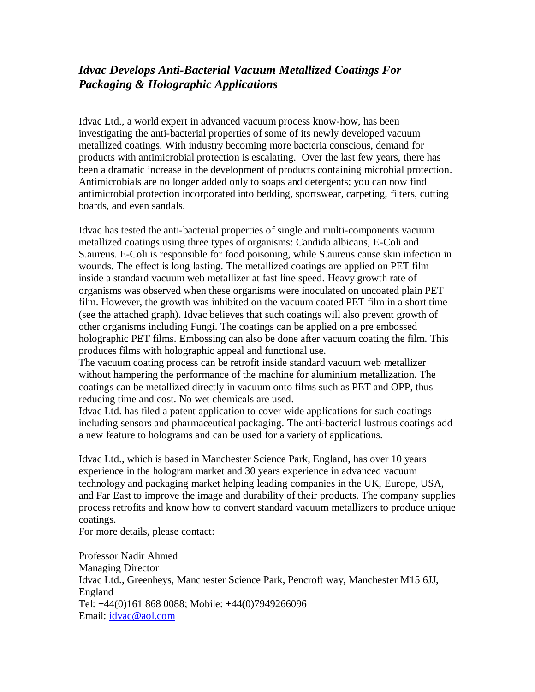## *Idvac Develops Anti-Bacterial Vacuum Metallized Coatings For Packaging & Holographic Applications*

Idvac Ltd., a world expert in advanced vacuum process know-how, has been investigating the anti-bacterial properties of some of its newly developed vacuum metallized coatings. With industry becoming more bacteria conscious, demand for products with antimicrobial protection is escalating. Over the last few years, there has been a dramatic increase in the development of products containing microbial protection. Antimicrobials are no longer added only to soaps and detergents; you can now find antimicrobial protection incorporated into bedding, sportswear, carpeting, filters, cutting boards, and even sandals.

Idvac has tested the anti-bacterial properties of single and multi-components vacuum metallized coatings using three types of organisms: Candida albicans, E-Coli and S.aureus. E-Coli is responsible for food poisoning, while S.aureus cause skin infection in wounds. The effect is long lasting. The metallized coatings are applied on PET film inside a standard vacuum web metallizer at fast line speed. Heavy growth rate of organisms was observed when these organisms were inoculated on uncoated plain PET film. However, the growth was inhibited on the vacuum coated PET film in a short time (see the attached graph). Idvac believes that such coatings will also prevent growth of other organisms including Fungi. The coatings can be applied on a pre embossed holographic PET films. Embossing can also be done after vacuum coating the film. This produces films with holographic appeal and functional use.

The vacuum coating process can be retrofit inside standard vacuum web metallizer without hampering the performance of the machine for aluminium metallization. The coatings can be metallized directly in vacuum onto films such as PET and OPP, thus reducing time and cost. No wet chemicals are used.

Idvac Ltd. has filed a patent application to cover wide applications for such coatings including sensors and pharmaceutical packaging. The anti-bacterial lustrous coatings add a new feature to holograms and can be used for a variety of applications.

Idvac Ltd., which is based in Manchester Science Park, England, has over 10 years experience in the hologram market and 30 years experience in advanced vacuum technology and packaging market helping leading companies in the UK, Europe, USA, and Far East to improve the image and durability of their products. The company supplies process retrofits and know how to convert standard vacuum metallizers to produce unique coatings.

For more details, please contact:

Professor Nadir Ahmed Managing Director Idvac Ltd., Greenheys, Manchester Science Park, Pencroft way, Manchester M15 6JJ, England Tel: +44(0)161 868 0088; Mobile: +44(0)7949266096 Email: [idvac@aol.com](mailto:idvac@aol.com)